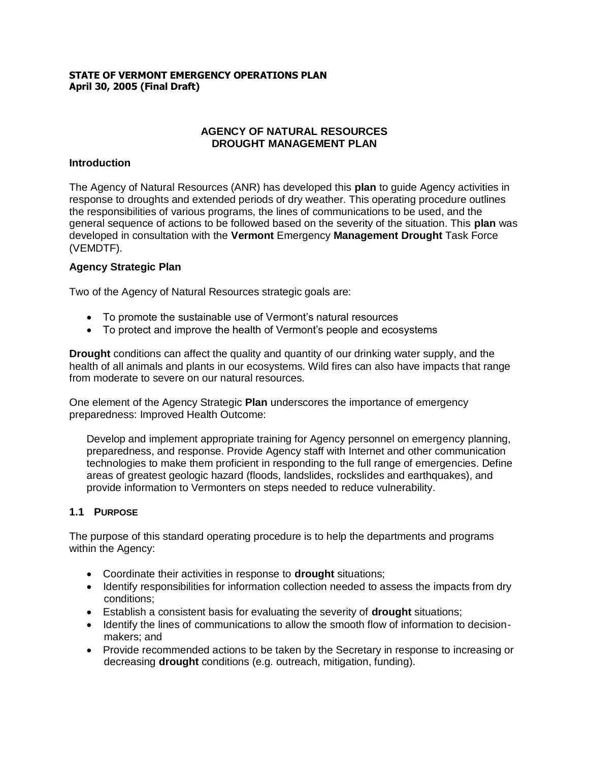### **STATE OF VERMONT EMERGENCY OPERATIONS PLAN April 30, 2005 (Final Draft)**

## **AGENCY OF NATURAL RESOURCES DROUGHT MANAGEMENT PLAN**

### **Introduction**

The Agency of Natural Resources (ANR) has developed this **plan** to guide Agency activities in response to droughts and extended periods of dry weather. This operating procedure outlines the responsibilities of various programs, the lines of communications to be used, and the general sequence of actions to be followed based on the severity of the situation. This **plan** was developed in consultation with the **Vermont** Emergency **Management Drought** Task Force (VEMDTF).

## **Agency Strategic Plan**

Two of the Agency of Natural Resources strategic goals are:

- To promote the sustainable use of Vermont's natural resources
- To protect and improve the health of Vermont's people and ecosystems

**Drought** conditions can affect the quality and quantity of our drinking water supply, and the health of all animals and plants in our ecosystems. Wild fires can also have impacts that range from moderate to severe on our natural resources.

One element of the Agency Strategic **Plan** underscores the importance of emergency preparedness: Improved Health Outcome:

Develop and implement appropriate training for Agency personnel on emergency planning, preparedness, and response. Provide Agency staff with Internet and other communication technologies to make them proficient in responding to the full range of emergencies. Define areas of greatest geologic hazard (floods, landslides, rockslides and earthquakes), and provide information to Vermonters on steps needed to reduce vulnerability.

## **1.1 PURPOSE**

The purpose of this standard operating procedure is to help the departments and programs within the Agency:

- Coordinate their activities in response to **drought** situations;
- Identify responsibilities for information collection needed to assess the impacts from dry conditions;
- Establish a consistent basis for evaluating the severity of **drought** situations;
- Identify the lines of communications to allow the smooth flow of information to decisionmakers; and
- Provide recommended actions to be taken by the Secretary in response to increasing or decreasing **drought** conditions (e.g. outreach, mitigation, funding).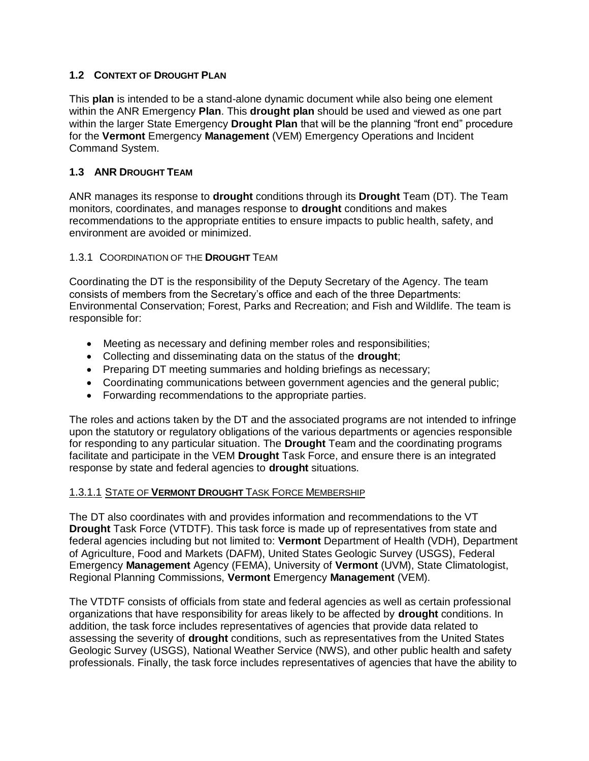## **1.2 CONTEXT OF DROUGHT PLAN**

This **plan** is intended to be a stand-alone dynamic document while also being one element within the ANR Emergency **Plan**. This **drought plan** should be used and viewed as one part within the larger State Emergency **Drought Plan** that will be the planning "front end" procedure for the **Vermont** Emergency **Management** (VEM) Emergency Operations and Incident Command System.

# **1.3 ANR DROUGHT TEAM**

ANR manages its response to **drought** conditions through its **Drought** Team (DT). The Team monitors, coordinates, and manages response to **drought** conditions and makes recommendations to the appropriate entities to ensure impacts to public health, safety, and environment are avoided or minimized.

## 1.3.1 COORDINATION OF THE **DROUGHT** TEAM

Coordinating the DT is the responsibility of the Deputy Secretary of the Agency. The team consists of members from the Secretary's office and each of the three Departments: Environmental Conservation; Forest, Parks and Recreation; and Fish and Wildlife. The team is responsible for:

- Meeting as necessary and defining member roles and responsibilities;
- Collecting and disseminating data on the status of the **drought**;
- Preparing DT meeting summaries and holding briefings as necessary;
- Coordinating communications between government agencies and the general public;
- Forwarding recommendations to the appropriate parties.

The roles and actions taken by the DT and the associated programs are not intended to infringe upon the statutory or regulatory obligations of the various departments or agencies responsible for responding to any particular situation. The **Drought** Team and the coordinating programs facilitate and participate in the VEM **Drought** Task Force, and ensure there is an integrated response by state and federal agencies to **drought** situations.

## 1.3.1.1 STATE OF **VERMONT DROUGHT** TASK FORCE MEMBERSHIP

The DT also coordinates with and provides information and recommendations to the VT **Drought** Task Force (VTDTF). This task force is made up of representatives from state and federal agencies including but not limited to: **Vermont** Department of Health (VDH), Department of Agriculture, Food and Markets (DAFM), United States Geologic Survey (USGS), Federal Emergency **Management** Agency (FEMA), University of **Vermont** (UVM), State Climatologist, Regional Planning Commissions, **Vermont** Emergency **Management** (VEM).

The VTDTF consists of officials from state and federal agencies as well as certain professional organizations that have responsibility for areas likely to be affected by **drought** conditions. In addition, the task force includes representatives of agencies that provide data related to assessing the severity of **drought** conditions, such as representatives from the United States Geologic Survey (USGS), National Weather Service (NWS), and other public health and safety professionals. Finally, the task force includes representatives of agencies that have the ability to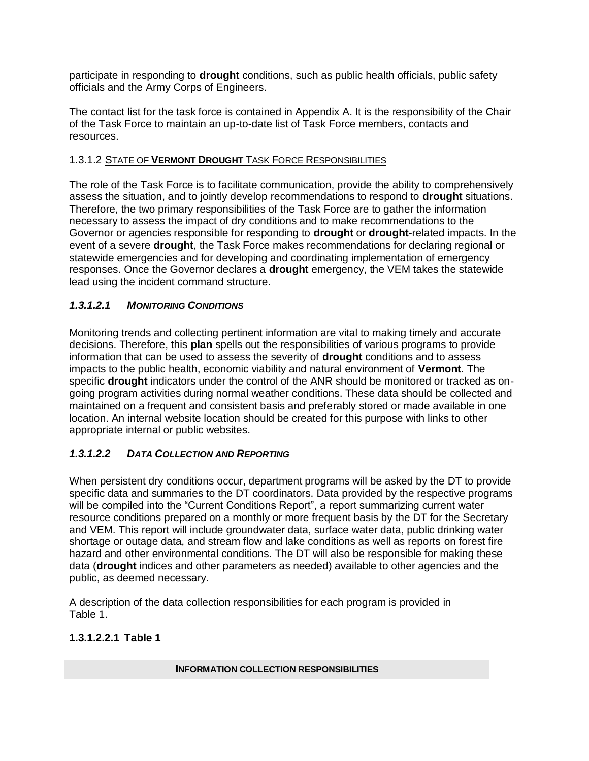participate in responding to **drought** conditions, such as public health officials, public safety officials and the Army Corps of Engineers.

The contact list for the task force is contained in Appendix A. It is the responsibility of the Chair of the Task Force to maintain an up-to-date list of Task Force members, contacts and resources.

## 1.3.1.2 STATE OF **VERMONT DROUGHT** TASK FORCE RESPONSIBILITIES

The role of the Task Force is to facilitate communication, provide the ability to comprehensively assess the situation, and to jointly develop recommendations to respond to **drought** situations. Therefore, the two primary responsibilities of the Task Force are to gather the information necessary to assess the impact of dry conditions and to make recommendations to the Governor or agencies responsible for responding to **drought** or **drought**-related impacts. In the event of a severe **drought**, the Task Force makes recommendations for declaring regional or statewide emergencies and for developing and coordinating implementation of emergency responses. Once the Governor declares a **drought** emergency, the VEM takes the statewide lead using the incident command structure.

# *1.3.1.2.1 MONITORING CONDITIONS*

Monitoring trends and collecting pertinent information are vital to making timely and accurate decisions. Therefore, this **plan** spells out the responsibilities of various programs to provide information that can be used to assess the severity of **drought** conditions and to assess impacts to the public health, economic viability and natural environment of **Vermont**. The specific **drought** indicators under the control of the ANR should be monitored or tracked as ongoing program activities during normal weather conditions. These data should be collected and maintained on a frequent and consistent basis and preferably stored or made available in one location. An internal website location should be created for this purpose with links to other appropriate internal or public websites.

# *1.3.1.2.2 DATA COLLECTION AND REPORTING*

When persistent dry conditions occur, department programs will be asked by the DT to provide specific data and summaries to the DT coordinators. Data provided by the respective programs will be compiled into the "Current Conditions Report", a report summarizing current water resource conditions prepared on a monthly or more frequent basis by the DT for the Secretary and VEM. This report will include groundwater data, surface water data, public drinking water shortage or outage data, and stream flow and lake conditions as well as reports on forest fire hazard and other environmental conditions. The DT will also be responsible for making these data (**drought** indices and other parameters as needed) available to other agencies and the public, as deemed necessary.

A description of the data collection responsibilities for each program is provided in Table 1.

# **1.3.1.2.2.1 Table 1**

#### **INFORMATION COLLECTION RESPONSIBILITIES**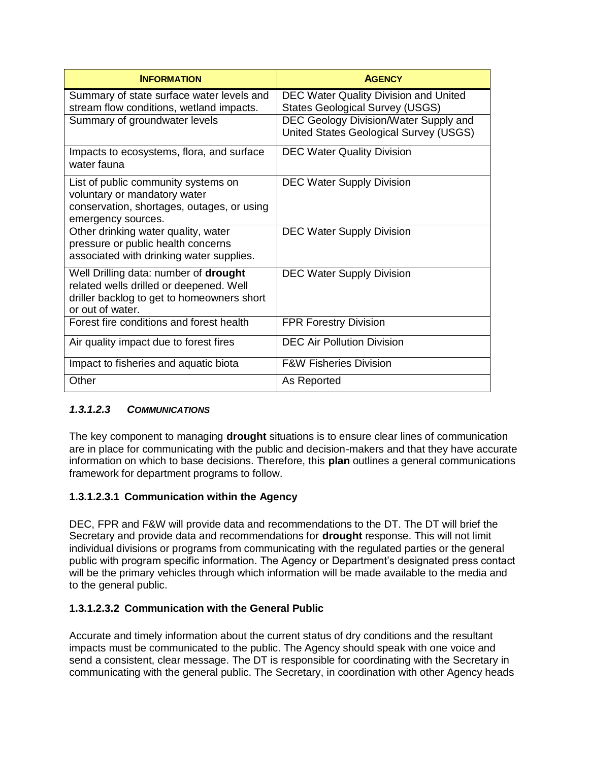| <b>INFORMATION</b>                                                                                                                                 | <b>AGFNCY</b>                                                                   |
|----------------------------------------------------------------------------------------------------------------------------------------------------|---------------------------------------------------------------------------------|
| Summary of state surface water levels and<br>stream flow conditions, wetland impacts.                                                              | DEC Water Quality Division and United<br><b>States Geological Survey (USGS)</b> |
| Summary of groundwater levels                                                                                                                      | DEC Geology Division/Water Supply and<br>United States Geological Survey (USGS) |
| Impacts to ecosystems, flora, and surface<br>water fauna                                                                                           | <b>DEC Water Quality Division</b>                                               |
| List of public community systems on<br>voluntary or mandatory water<br>conservation, shortages, outages, or using<br>emergency sources.            | <b>DEC Water Supply Division</b>                                                |
| Other drinking water quality, water<br>pressure or public health concerns<br>associated with drinking water supplies.                              | <b>DEC Water Supply Division</b>                                                |
| Well Drilling data: number of drought<br>related wells drilled or deepened. Well<br>driller backlog to get to homeowners short<br>or out of water. | <b>DEC Water Supply Division</b>                                                |
| Forest fire conditions and forest health                                                                                                           | <b>FPR Forestry Division</b>                                                    |
| Air quality impact due to forest fires                                                                                                             | <b>DEC Air Pollution Division</b>                                               |
| Impact to fisheries and aquatic biota                                                                                                              | <b>F&amp;W Fisheries Division</b>                                               |
| Other                                                                                                                                              | As Reported                                                                     |

# *1.3.1.2.3 COMMUNICATIONS*

The key component to managing **drought** situations is to ensure clear lines of communication are in place for communicating with the public and decision-makers and that they have accurate information on which to base decisions. Therefore, this **plan** outlines a general communications framework for department programs to follow.

# **1.3.1.2.3.1 Communication within the Agency**

DEC, FPR and F&W will provide data and recommendations to the DT. The DT will brief the Secretary and provide data and recommendations for **drought** response. This will not limit individual divisions or programs from communicating with the regulated parties or the general public with program specific information. The Agency or Department's designated press contact will be the primary vehicles through which information will be made available to the media and to the general public.

# **1.3.1.2.3.2 Communication with the General Public**

Accurate and timely information about the current status of dry conditions and the resultant impacts must be communicated to the public. The Agency should speak with one voice and send a consistent, clear message. The DT is responsible for coordinating with the Secretary in communicating with the general public. The Secretary, in coordination with other Agency heads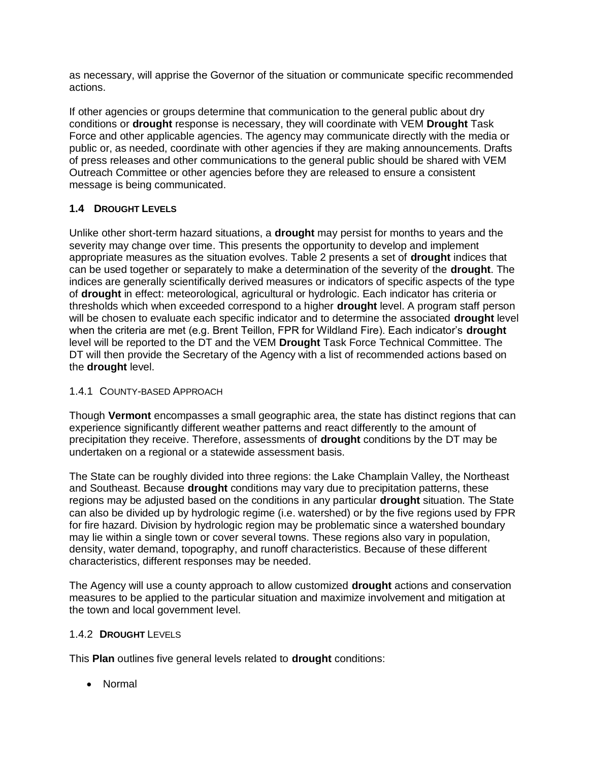as necessary, will apprise the Governor of the situation or communicate specific recommended actions.

If other agencies or groups determine that communication to the general public about dry conditions or **drought** response is necessary, they will coordinate with VEM **Drought** Task Force and other applicable agencies. The agency may communicate directly with the media or public or, as needed, coordinate with other agencies if they are making announcements. Drafts of press releases and other communications to the general public should be shared with VEM Outreach Committee or other agencies before they are released to ensure a consistent message is being communicated.

# **1.4 DROUGHT LEVELS**

Unlike other short-term hazard situations, a **drought** may persist for months to years and the severity may change over time. This presents the opportunity to develop and implement appropriate measures as the situation evolves. Table 2 presents a set of **drought** indices that can be used together or separately to make a determination of the severity of the **drought**. The indices are generally scientifically derived measures or indicators of specific aspects of the type of **drought** in effect: meteorological, agricultural or hydrologic. Each indicator has criteria or thresholds which when exceeded correspond to a higher **drought** level. A program staff person will be chosen to evaluate each specific indicator and to determine the associated **drought** level when the criteria are met (e.g. Brent Teillon, FPR for Wildland Fire). Each indicator's **drought** level will be reported to the DT and the VEM **Drought** Task Force Technical Committee. The DT will then provide the Secretary of the Agency with a list of recommended actions based on the **drought** level.

# 1.4.1 COUNTY-BASED APPROACH

Though **Vermont** encompasses a small geographic area, the state has distinct regions that can experience significantly different weather patterns and react differently to the amount of precipitation they receive. Therefore, assessments of **drought** conditions by the DT may be undertaken on a regional or a statewide assessment basis.

The State can be roughly divided into three regions: the Lake Champlain Valley, the Northeast and Southeast. Because **drought** conditions may vary due to precipitation patterns, these regions may be adjusted based on the conditions in any particular **drought** situation. The State can also be divided up by hydrologic regime (i.e. watershed) or by the five regions used by FPR for fire hazard. Division by hydrologic region may be problematic since a watershed boundary may lie within a single town or cover several towns. These regions also vary in population, density, water demand, topography, and runoff characteristics. Because of these different characteristics, different responses may be needed.

The Agency will use a county approach to allow customized **drought** actions and conservation measures to be applied to the particular situation and maximize involvement and mitigation at the town and local government level.

# 1.4.2 **DROUGHT** LEVELS

This **Plan** outlines five general levels related to **drought** conditions:

Normal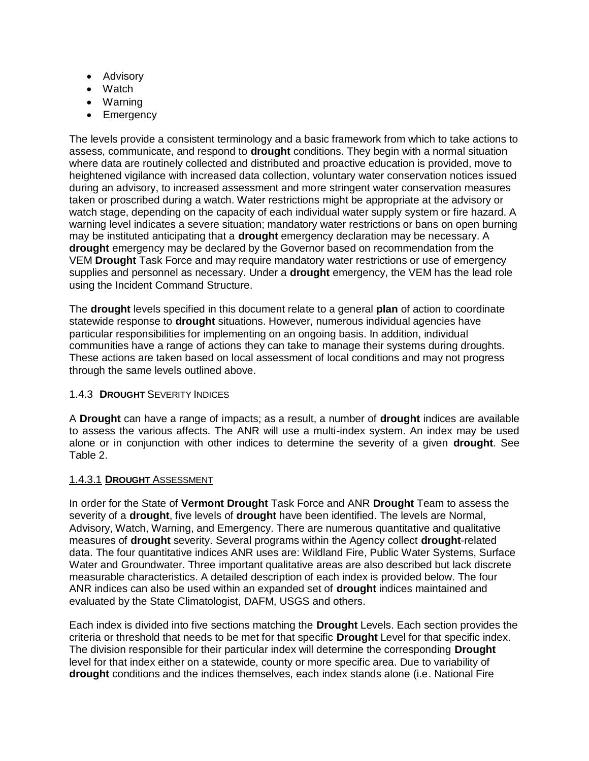- Advisory
- Watch
- Warning
- Emergency

The levels provide a consistent terminology and a basic framework from which to take actions to assess, communicate, and respond to **drought** conditions. They begin with a normal situation where data are routinely collected and distributed and proactive education is provided, move to heightened vigilance with increased data collection, voluntary water conservation notices issued during an advisory, to increased assessment and more stringent water conservation measures taken or proscribed during a watch. Water restrictions might be appropriate at the advisory or watch stage, depending on the capacity of each individual water supply system or fire hazard. A warning level indicates a severe situation; mandatory water restrictions or bans on open burning may be instituted anticipating that a **drought** emergency declaration may be necessary. A **drought** emergency may be declared by the Governor based on recommendation from the VEM **Drought** Task Force and may require mandatory water restrictions or use of emergency supplies and personnel as necessary. Under a **drought** emergency, the VEM has the lead role using the Incident Command Structure.

The **drought** levels specified in this document relate to a general **plan** of action to coordinate statewide response to **drought** situations. However, numerous individual agencies have particular responsibilities for implementing on an ongoing basis. In addition, individual communities have a range of actions they can take to manage their systems during droughts. These actions are taken based on local assessment of local conditions and may not progress through the same levels outlined above.

## 1.4.3 **DROUGHT** SEVERITY INDICES

A **Drought** can have a range of impacts; as a result, a number of **drought** indices are available to assess the various affects. The ANR will use a multi-index system. An index may be used alone or in conjunction with other indices to determine the severity of a given **drought**. See Table 2.

## 1.4.3.1 **DROUGHT** ASSESSMENT

In order for the State of **Vermont Drought** Task Force and ANR **Drought** Team to assess the severity of a **drought**, five levels of **drought** have been identified. The levels are Normal, Advisory, Watch, Warning, and Emergency. There are numerous quantitative and qualitative measures of **drought** severity. Several programs within the Agency collect **drought**-related data. The four quantitative indices ANR uses are: Wildland Fire, Public Water Systems, Surface Water and Groundwater. Three important qualitative areas are also described but lack discrete measurable characteristics. A detailed description of each index is provided below. The four ANR indices can also be used within an expanded set of **drought** indices maintained and evaluated by the State Climatologist, DAFM, USGS and others.

Each index is divided into five sections matching the **Drought** Levels. Each section provides the criteria or threshold that needs to be met for that specific **Drought** Level for that specific index. The division responsible for their particular index will determine the corresponding **Drought** level for that index either on a statewide, county or more specific area. Due to variability of **drought** conditions and the indices themselves, each index stands alone (i.e. National Fire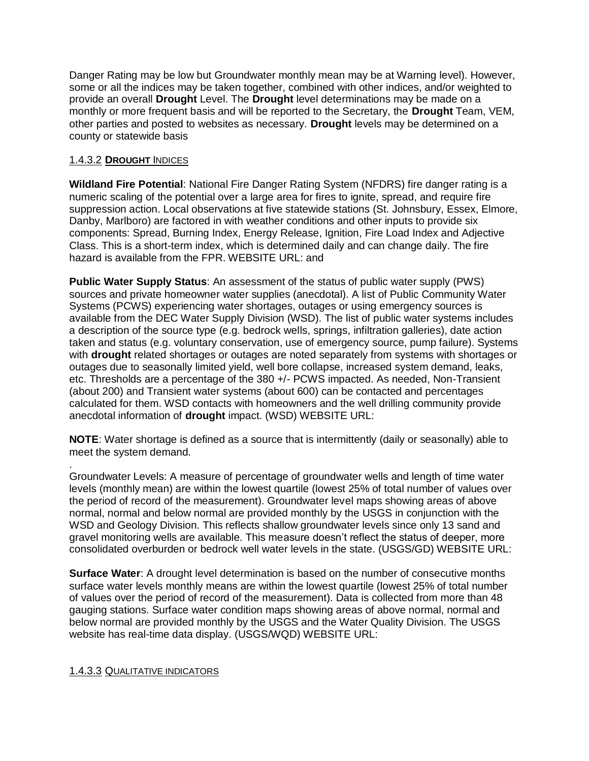Danger Rating may be low but Groundwater monthly mean may be at Warning level). However, some or all the indices may be taken together, combined with other indices, and/or weighted to provide an overall **Drought** Level. The **Drought** level determinations may be made on a monthly or more frequent basis and will be reported to the Secretary, the **Drought** Team, VEM, other parties and posted to websites as necessary. **Drought** levels may be determined on a county or statewide basis

## 1.4.3.2 **DROUGHT** INDICES

**Wildland Fire Potential**: National Fire Danger Rating System (NFDRS) fire danger rating is a numeric scaling of the potential over a large area for fires to ignite, spread, and require fire suppression action. Local observations at five statewide stations (St. Johnsbury, Essex, Elmore, Danby, Marlboro) are factored in with weather conditions and other inputs to provide six components: Spread, Burning Index, Energy Release, Ignition, Fire Load Index and Adjective Class. This is a short-term index, which is determined daily and can change daily. The fire hazard is available from the FPR. WEBSITE URL: and

**Public Water Supply Status**: An assessment of the status of public water supply (PWS) sources and private homeowner water supplies (anecdotal). A list of Public Community Water Systems (PCWS) experiencing water shortages, outages or using emergency sources is available from the DEC Water Supply Division (WSD). The list of public water systems includes a description of the source type (e.g. bedrock wells, springs, infiltration galleries), date action taken and status (e.g. voluntary conservation, use of emergency source, pump failure). Systems with **drought** related shortages or outages are noted separately from systems with shortages or outages due to seasonally limited yield, well bore collapse, increased system demand, leaks, etc. Thresholds are a percentage of the 380 +/- PCWS impacted. As needed, Non-Transient (about 200) and Transient water systems (about 600) can be contacted and percentages calculated for them. WSD contacts with homeowners and the well drilling community provide anecdotal information of **drought** impact. (WSD) WEBSITE URL:

**NOTE**: Water shortage is defined as a source that is intermittently (daily or seasonally) able to meet the system demand.

. Groundwater Levels: A measure of percentage of groundwater wells and length of time water levels (monthly mean) are within the lowest quartile (lowest 25% of total number of values over the period of record of the measurement). Groundwater level maps showing areas of above normal, normal and below normal are provided monthly by the USGS in conjunction with the WSD and Geology Division. This reflects shallow groundwater levels since only 13 sand and gravel monitoring wells are available. This measure doesn't reflect the status of deeper, more consolidated overburden or bedrock well water levels in the state. (USGS/GD) WEBSITE URL:

**Surface Water**: A drought level determination is based on the number of consecutive months surface water levels monthly means are within the lowest quartile (lowest 25% of total number of values over the period of record of the measurement). Data is collected from more than 48 gauging stations. Surface water condition maps showing areas of above normal, normal and below normal are provided monthly by the USGS and the Water Quality Division. The USGS website has real-time data display. (USGS/WQD) WEBSITE URL:

## 1.4.3.3 QUALITATIVE INDICATORS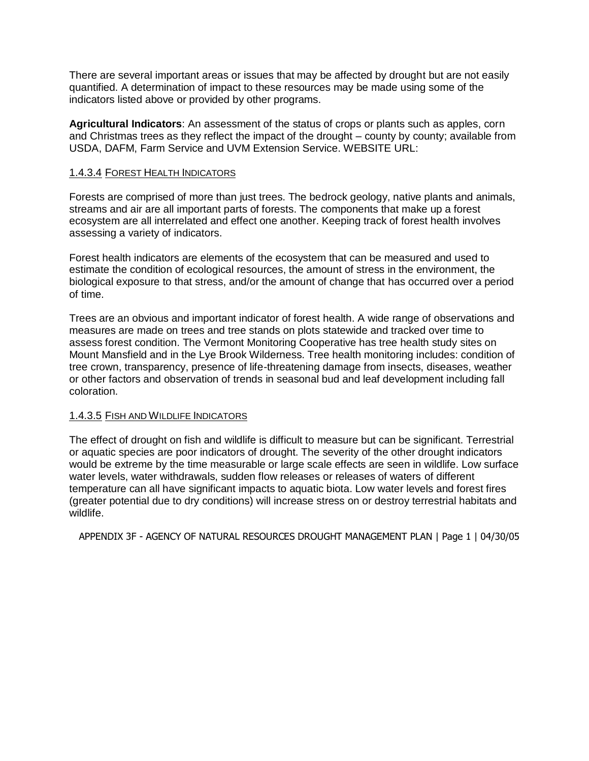There are several important areas or issues that may be affected by drought but are not easily quantified. A determination of impact to these resources may be made using some of the indicators listed above or provided by other programs.

**Agricultural Indicators**: An assessment of the status of crops or plants such as apples, corn and Christmas trees as they reflect the impact of the drought – county by county; available from USDA, DAFM, Farm Service and UVM Extension Service. WEBSITE URL:

### 1.4.3.4 FOREST HEALTH INDICATORS

Forests are comprised of more than just trees. The bedrock geology, native plants and animals, streams and air are all important parts of forests. The components that make up a forest ecosystem are all interrelated and effect one another. Keeping track of forest health involves assessing a variety of indicators.

Forest health indicators are elements of the ecosystem that can be measured and used to estimate the condition of ecological resources, the amount of stress in the environment, the biological exposure to that stress, and/or the amount of change that has occurred over a period of time.

Trees are an obvious and important indicator of forest health. A wide range of observations and measures are made on trees and tree stands on plots statewide and tracked over time to assess forest condition. The Vermont Monitoring Cooperative has tree health study sites on Mount Mansfield and in the Lye Brook Wilderness. Tree health monitoring includes: condition of tree crown, transparency, presence of life-threatening damage from insects, diseases, weather or other factors and observation of trends in seasonal bud and leaf development including fall coloration.

#### 1.4.3.5 FISH AND WILDLIFE INDICATORS

The effect of drought on fish and wildlife is difficult to measure but can be significant. Terrestrial or aquatic species are poor indicators of drought. The severity of the other drought indicators would be extreme by the time measurable or large scale effects are seen in wildlife. Low surface water levels, water withdrawals, sudden flow releases or releases of waters of different temperature can all have significant impacts to aquatic biota. Low water levels and forest fires (greater potential due to dry conditions) will increase stress on or destroy terrestrial habitats and wildlife.

APPENDIX 3F - AGENCY OF NATURAL RESOURCES DROUGHT MANAGEMENT PLAN | Page 1 | 04/30/05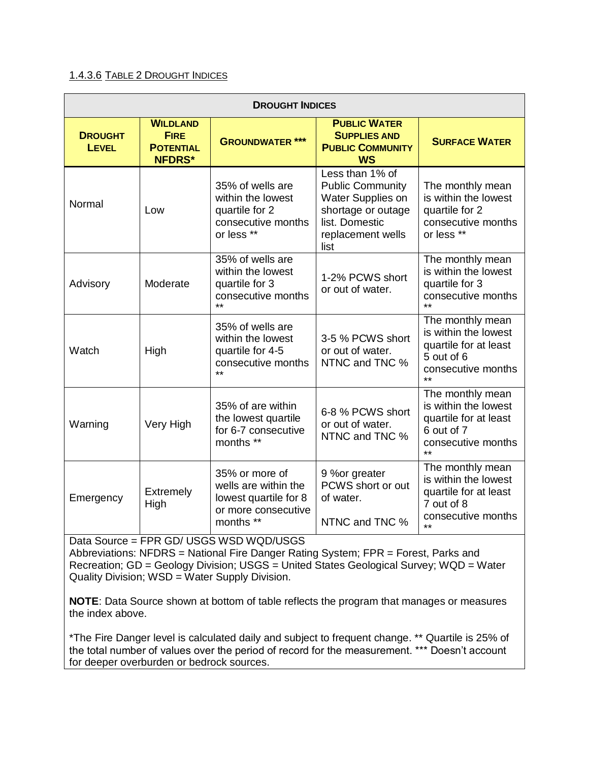## 1.4.3.6 TABLE 2 DROUGHT INDICES

| <b>DROUGHT INDICES</b>         |                                                                     |                                                                                                     |                                                                                                                                      |                                                                                                                       |
|--------------------------------|---------------------------------------------------------------------|-----------------------------------------------------------------------------------------------------|--------------------------------------------------------------------------------------------------------------------------------------|-----------------------------------------------------------------------------------------------------------------------|
| <b>DROUGHT</b><br><b>LEVEL</b> | <b>WILDLAND</b><br><b>FIRE</b><br><b>POTENTIAL</b><br><b>NFDRS*</b> | <b>GROUNDWATER ***</b>                                                                              | <b>PUBLIC WATER</b><br><b>SUPPLIES AND</b><br><b>PUBLIC COMMUNITY</b><br><b>WS</b>                                                   | <b>SURFACE WATER</b>                                                                                                  |
| Normal                         | Low                                                                 | 35% of wells are<br>within the lowest<br>quartile for 2<br>consecutive months<br>or less **         | Less than 1% of<br><b>Public Community</b><br>Water Supplies on<br>shortage or outage<br>list. Domestic<br>replacement wells<br>list | The monthly mean<br>is within the lowest<br>quartile for 2<br>consecutive months<br>or less **                        |
| Advisory                       | Moderate                                                            | 35% of wells are<br>within the lowest<br>quartile for 3<br>consecutive months<br>$***$              | 1-2% PCWS short<br>or out of water.                                                                                                  | The monthly mean<br>is within the lowest<br>quartile for 3<br>consecutive months<br>$***$                             |
| Watch                          | High                                                                | 35% of wells are<br>within the lowest<br>quartile for 4-5<br>consecutive months<br>$***$            | 3-5 % PCWS short<br>or out of water.<br>NTNC and TNC %                                                                               | The monthly mean<br>is within the lowest<br>quartile for at least<br>5 out of 6<br>consecutive months<br>$***$        |
| Warning                        | Very High                                                           | 35% of are within<br>the lowest quartile<br>for 6-7 consecutive<br>months **                        | 6-8 % PCWS short<br>or out of water.<br>NTNC and TNC %                                                                               | The monthly mean<br>is within the lowest<br>quartile for at least<br>6 out of 7<br>consecutive months<br>$\star\star$ |
| Emergency                      | Extremely<br>High                                                   | 35% or more of<br>wells are within the<br>lowest quartile for 8<br>or more consecutive<br>months ** | 9 % or greater<br>PCWS short or out<br>of water.<br>NTNC and TNC %                                                                   | The monthly mean<br>is within the lowest<br>quartile for at least<br>7 out of 8<br>consecutive months<br>$***$        |

Data Source = FPR GD/ USGS WSD WQD/USGS Abbreviations: NFDRS = National Fire Danger Rating System; FPR = Forest, Parks and Recreation; GD = Geology Division; USGS = United States Geological Survey; WQD = Water Quality Division; WSD = Water Supply Division.

**NOTE**: Data Source shown at bottom of table reflects the program that manages or measures the index above.

\*The Fire Danger level is calculated daily and subject to frequent change. \*\* Quartile is 25% of the total number of values over the period of record for the measurement. \*\*\* Doesn't account for deeper overburden or bedrock sources.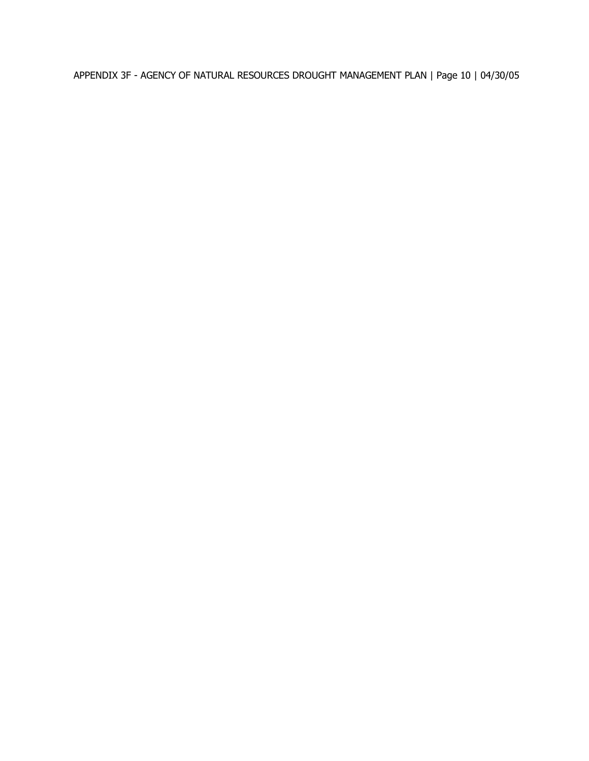APPENDIX 3F - AGENCY OF NATURAL RESOURCES DROUGHT MANAGEMENT PLAN | Page 10 | 04/30/05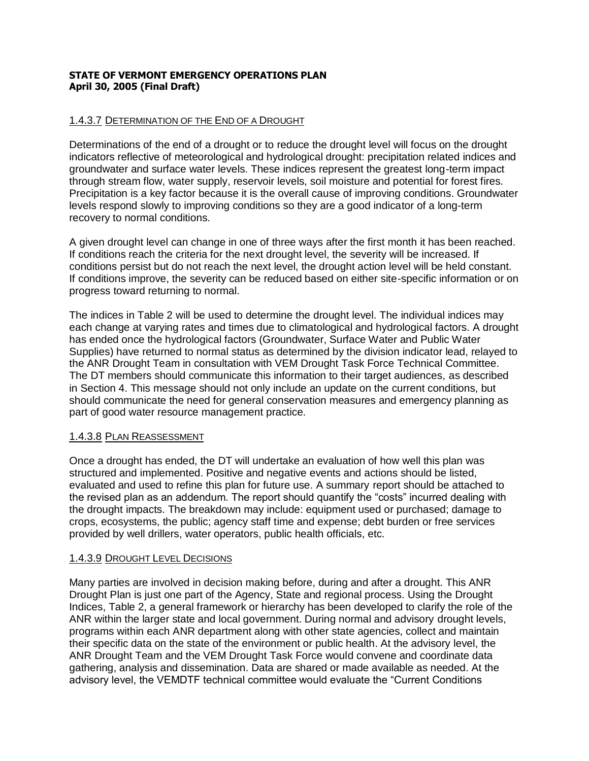#### **STATE OF VERMONT EMERGENCY OPERATIONS PLAN April 30, 2005 (Final Draft)**

### 1.4.3.7 DETERMINATION OF THE END OF A DROUGHT

Determinations of the end of a drought or to reduce the drought level will focus on the drought indicators reflective of meteorological and hydrological drought: precipitation related indices and groundwater and surface water levels. These indices represent the greatest long-term impact through stream flow, water supply, reservoir levels, soil moisture and potential for forest fires. Precipitation is a key factor because it is the overall cause of improving conditions. Groundwater levels respond slowly to improving conditions so they are a good indicator of a long-term recovery to normal conditions.

A given drought level can change in one of three ways after the first month it has been reached. If conditions reach the criteria for the next drought level, the severity will be increased. If conditions persist but do not reach the next level, the drought action level will be held constant. If conditions improve, the severity can be reduced based on either site-specific information or on progress toward returning to normal.

The indices in Table 2 will be used to determine the drought level. The individual indices may each change at varying rates and times due to climatological and hydrological factors. A drought has ended once the hydrological factors (Groundwater, Surface Water and Public Water Supplies) have returned to normal status as determined by the division indicator lead, relayed to the ANR Drought Team in consultation with VEM Drought Task Force Technical Committee. The DT members should communicate this information to their target audiences, as described in Section 4. This message should not only include an update on the current conditions, but should communicate the need for general conservation measures and emergency planning as part of good water resource management practice.

#### 1.4.3.8 PLAN REASSESSMENT

Once a drought has ended, the DT will undertake an evaluation of how well this plan was structured and implemented. Positive and negative events and actions should be listed, evaluated and used to refine this plan for future use. A summary report should be attached to the revised plan as an addendum. The report should quantify the "costs" incurred dealing with the drought impacts. The breakdown may include: equipment used or purchased; damage to crops, ecosystems, the public; agency staff time and expense; debt burden or free services provided by well drillers, water operators, public health officials, etc.

#### 1.4.3.9 DROUGHT LEVEL DECISIONS

Many parties are involved in decision making before, during and after a drought. This ANR Drought Plan is just one part of the Agency, State and regional process. Using the Drought Indices, Table 2, a general framework or hierarchy has been developed to clarify the role of the ANR within the larger state and local government. During normal and advisory drought levels, programs within each ANR department along with other state agencies, collect and maintain their specific data on the state of the environment or public health. At the advisory level, the ANR Drought Team and the VEM Drought Task Force would convene and coordinate data gathering, analysis and dissemination. Data are shared or made available as needed. At the advisory level, the VEMDTF technical committee would evaluate the "Current Conditions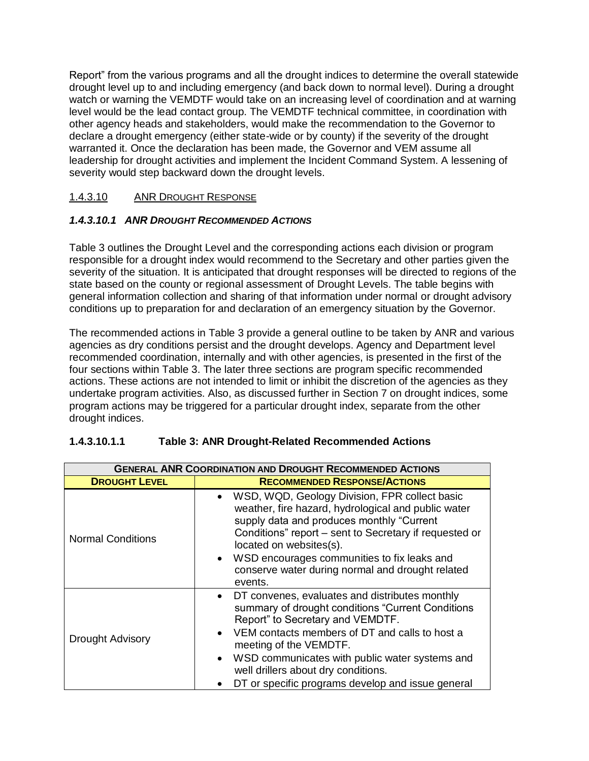Report" from the various programs and all the drought indices to determine the overall statewide drought level up to and including emergency (and back down to normal level). During a drought watch or warning the VEMDTF would take on an increasing level of coordination and at warning level would be the lead contact group. The VEMDTF technical committee, in coordination with other agency heads and stakeholders, would make the recommendation to the Governor to declare a drought emergency (either state-wide or by county) if the severity of the drought warranted it. Once the declaration has been made, the Governor and VEM assume all leadership for drought activities and implement the Incident Command System. A lessening of severity would step backward down the drought levels.

## 1.4.3.10 ANR DROUGHT RESPONSE

## *1.4.3.10.1 ANR DROUGHT RECOMMENDED ACTIONS*

Table 3 outlines the Drought Level and the corresponding actions each division or program responsible for a drought index would recommend to the Secretary and other parties given the severity of the situation. It is anticipated that drought responses will be directed to regions of the state based on the county or regional assessment of Drought Levels. The table begins with general information collection and sharing of that information under normal or drought advisory conditions up to preparation for and declaration of an emergency situation by the Governor.

The recommended actions in Table 3 provide a general outline to be taken by ANR and various agencies as dry conditions persist and the drought develops. Agency and Department level recommended coordination, internally and with other agencies, is presented in the first of the four sections within Table 3. The later three sections are program specific recommended actions. These actions are not intended to limit or inhibit the discretion of the agencies as they undertake program activities. Also, as discussed further in Section 7 on drought indices, some program actions may be triggered for a particular drought index, separate from the other drought indices.

| <b>GENERAL ANR COORDINATION AND DROUGHT RECOMMENDED ACTIONS</b> |                                                                                                                                                                                                                                                                                                                                                                                     |  |  |
|-----------------------------------------------------------------|-------------------------------------------------------------------------------------------------------------------------------------------------------------------------------------------------------------------------------------------------------------------------------------------------------------------------------------------------------------------------------------|--|--|
| <b>DROUGHT LEVEL</b>                                            | <b>RECOMMENDED RESPONSE/ACTIONS</b>                                                                                                                                                                                                                                                                                                                                                 |  |  |
| <b>Normal Conditions</b>                                        | • WSD, WQD, Geology Division, FPR collect basic<br>weather, fire hazard, hydrological and public water<br>supply data and produces monthly "Current<br>Conditions" report – sent to Secretary if requested or<br>located on websites(s).<br>WSD encourages communities to fix leaks and<br>$\bullet$<br>conserve water during normal and drought related<br>events.                 |  |  |
| Drought Advisory                                                | • DT convenes, evaluates and distributes monthly<br>summary of drought conditions "Current Conditions"<br>Report" to Secretary and VEMDTF.<br>• VEM contacts members of DT and calls to host a<br>meeting of the VEMDTF.<br>WSD communicates with public water systems and<br>$\bullet$<br>well drillers about dry conditions.<br>DT or specific programs develop and issue general |  |  |

# **1.4.3.10.1.1 Table 3: ANR Drought-Related Recommended Actions**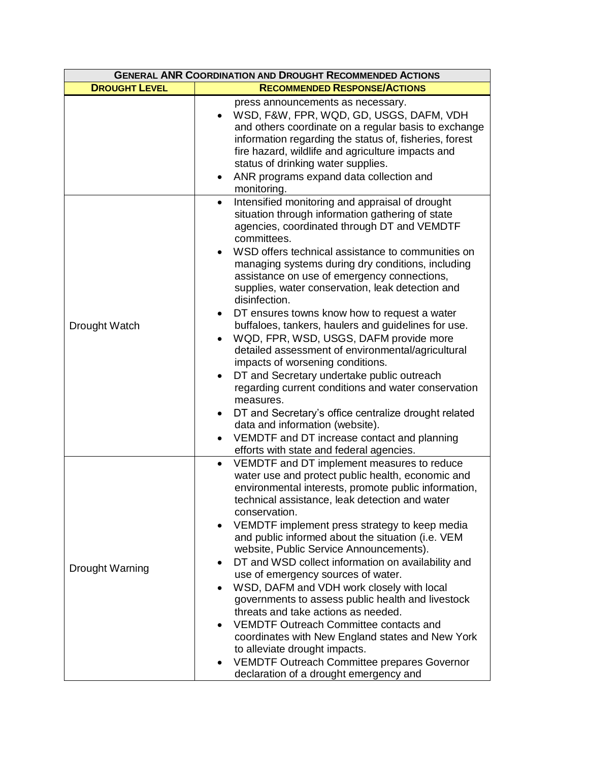| <b>GENERAL ANR COORDINATION AND DROUGHT RECOMMENDED ACTIONS</b> |                                                                                                                                                                                                                                                                                                                                                                                                                                                                                                                                                                                                                                                                                                                                                                                                                                                                                                                                                                                          |  |  |
|-----------------------------------------------------------------|------------------------------------------------------------------------------------------------------------------------------------------------------------------------------------------------------------------------------------------------------------------------------------------------------------------------------------------------------------------------------------------------------------------------------------------------------------------------------------------------------------------------------------------------------------------------------------------------------------------------------------------------------------------------------------------------------------------------------------------------------------------------------------------------------------------------------------------------------------------------------------------------------------------------------------------------------------------------------------------|--|--|
| <b>DROUGHT LEVEL</b>                                            | <b>RECOMMENDED RESPONSE/ACTIONS</b>                                                                                                                                                                                                                                                                                                                                                                                                                                                                                                                                                                                                                                                                                                                                                                                                                                                                                                                                                      |  |  |
|                                                                 | press announcements as necessary.<br>WSD, F&W, FPR, WQD, GD, USGS, DAFM, VDH<br>and others coordinate on a regular basis to exchange<br>information regarding the status of, fisheries, forest<br>fire hazard, wildlife and agriculture impacts and<br>status of drinking water supplies.<br>ANR programs expand data collection and<br>$\bullet$<br>monitoring.                                                                                                                                                                                                                                                                                                                                                                                                                                                                                                                                                                                                                         |  |  |
| Drought Watch                                                   | Intensified monitoring and appraisal of drought<br>$\bullet$<br>situation through information gathering of state<br>agencies, coordinated through DT and VEMDTF<br>committees.<br>WSD offers technical assistance to communities on<br>$\bullet$<br>managing systems during dry conditions, including<br>assistance on use of emergency connections,<br>supplies, water conservation, leak detection and<br>disinfection.<br>DT ensures towns know how to request a water<br>٠<br>buffaloes, tankers, haulers and guidelines for use.<br>WQD, FPR, WSD, USGS, DAFM provide more<br>$\bullet$<br>detailed assessment of environmental/agricultural<br>impacts of worsening conditions.<br>DT and Secretary undertake public outreach<br>$\bullet$<br>regarding current conditions and water conservation<br>measures.<br>DT and Secretary's office centralize drought related<br>$\bullet$<br>data and information (website).<br>VEMDTF and DT increase contact and planning<br>$\bullet$ |  |  |
| Drought Warning                                                 | efforts with state and federal agencies.<br>VEMDTF and DT implement measures to reduce<br>$\bullet$<br>water use and protect public health, economic and<br>environmental interests, promote public information,<br>technical assistance, leak detection and water<br>conservation.<br>VEMDTF implement press strategy to keep media<br>and public informed about the situation (i.e. VEM<br>website, Public Service Announcements).<br>DT and WSD collect information on availability and<br>$\bullet$<br>use of emergency sources of water.<br>WSD, DAFM and VDH work closely with local<br>$\bullet$<br>governments to assess public health and livestock<br>threats and take actions as needed.<br><b>VEMDTF Outreach Committee contacts and</b><br>$\bullet$<br>coordinates with New England states and New York<br>to alleviate drought impacts.<br>VEMDTF Outreach Committee prepares Governor<br>declaration of a drought emergency and                                          |  |  |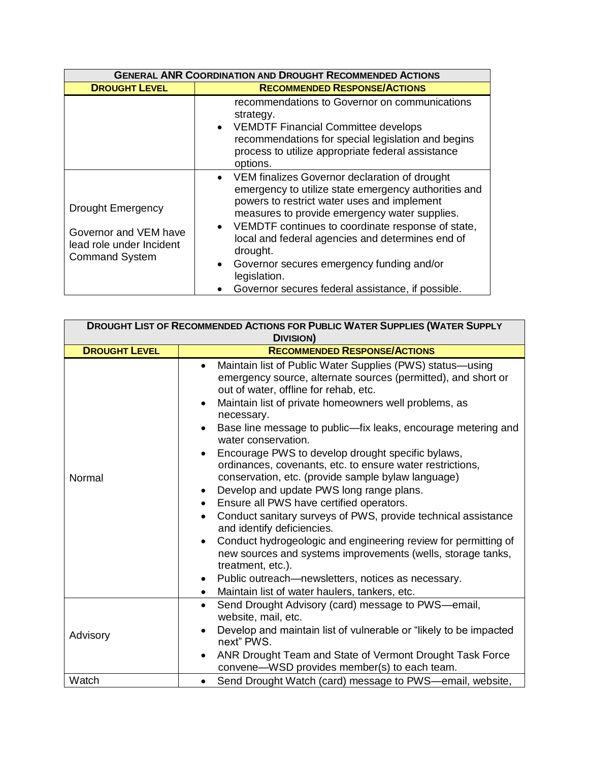| <b>GENERAL ANR COORDINATION AND DROUGHT RECOMMENDED ACTIONS</b>                                        |                                                                                                                                                                                                                                                                                                                                                                                                                                                               |  |
|--------------------------------------------------------------------------------------------------------|---------------------------------------------------------------------------------------------------------------------------------------------------------------------------------------------------------------------------------------------------------------------------------------------------------------------------------------------------------------------------------------------------------------------------------------------------------------|--|
| <b>DROUGHT LEVEL</b>                                                                                   | <b>RECOMMENDED RESPONSE/ACTIONS</b>                                                                                                                                                                                                                                                                                                                                                                                                                           |  |
|                                                                                                        | recommendations to Governor on communications<br>strategy.<br>• VEMDTF Financial Committee develops<br>recommendations for special legislation and begins<br>process to utilize appropriate federal assistance<br>options.                                                                                                                                                                                                                                    |  |
| <b>Drought Emergency</b><br>Governor and VEM have<br>lead role under Incident<br><b>Command System</b> | • VEM finalizes Governor declaration of drought<br>emergency to utilize state emergency authorities and<br>powers to restrict water uses and implement<br>measures to provide emergency water supplies.<br>• VEMDTF continues to coordinate response of state,<br>local and federal agencies and determines end of<br>drought.<br>Governor secures emergency funding and/or<br>$\bullet$<br>legislation.<br>Governor secures federal assistance, if possible. |  |

| <b>DROUGHT LIST OF RECOMMENDED ACTIONS FOR PUBLIC WATER SUPPLIES (WATER SUPPLY</b> |                                                                                                                                                                                                                                                                                                                                                                                                                                                                                                                                                                                                                                                                                                                                                                                                                                                                                                                                                                                                                    |  |  |
|------------------------------------------------------------------------------------|--------------------------------------------------------------------------------------------------------------------------------------------------------------------------------------------------------------------------------------------------------------------------------------------------------------------------------------------------------------------------------------------------------------------------------------------------------------------------------------------------------------------------------------------------------------------------------------------------------------------------------------------------------------------------------------------------------------------------------------------------------------------------------------------------------------------------------------------------------------------------------------------------------------------------------------------------------------------------------------------------------------------|--|--|
| <b>DIVISION</b> )                                                                  |                                                                                                                                                                                                                                                                                                                                                                                                                                                                                                                                                                                                                                                                                                                                                                                                                                                                                                                                                                                                                    |  |  |
| <b>DROUGHT LEVEL</b>                                                               | <b>RECOMMENDED RESPONSE/ACTIONS</b>                                                                                                                                                                                                                                                                                                                                                                                                                                                                                                                                                                                                                                                                                                                                                                                                                                                                                                                                                                                |  |  |
| Normal                                                                             | Maintain list of Public Water Supplies (PWS) status—using<br>$\bullet$<br>emergency source, alternate sources (permitted), and short or<br>out of water, offline for rehab, etc.<br>Maintain list of private homeowners well problems, as<br>necessary.<br>Base line message to public-fix leaks, encourage metering and<br>water conservation.<br>Encourage PWS to develop drought specific bylaws,<br>ordinances, covenants, etc. to ensure water restrictions,<br>conservation, etc. (provide sample bylaw language)<br>Develop and update PWS long range plans.<br>$\bullet$<br>Ensure all PWS have certified operators.<br>Conduct sanitary surveys of PWS, provide technical assistance<br>$\bullet$<br>and identify deficiencies.<br>Conduct hydrogeologic and engineering review for permitting of<br>new sources and systems improvements (wells, storage tanks,<br>treatment, etc.).<br>Public outreach—newsletters, notices as necessary.<br>$\bullet$<br>Maintain list of water haulers, tankers, etc. |  |  |
|                                                                                    | Send Drought Advisory (card) message to PWS-email,<br>$\bullet$<br>website, mail, etc.                                                                                                                                                                                                                                                                                                                                                                                                                                                                                                                                                                                                                                                                                                                                                                                                                                                                                                                             |  |  |
| Advisory                                                                           | Develop and maintain list of vulnerable or "likely to be impacted<br>next" PWS.                                                                                                                                                                                                                                                                                                                                                                                                                                                                                                                                                                                                                                                                                                                                                                                                                                                                                                                                    |  |  |
|                                                                                    | ANR Drought Team and State of Vermont Drought Task Force<br>convene—WSD provides member(s) to each team.                                                                                                                                                                                                                                                                                                                                                                                                                                                                                                                                                                                                                                                                                                                                                                                                                                                                                                           |  |  |
| Watch                                                                              | Send Drought Watch (card) message to PWS-email, website,                                                                                                                                                                                                                                                                                                                                                                                                                                                                                                                                                                                                                                                                                                                                                                                                                                                                                                                                                           |  |  |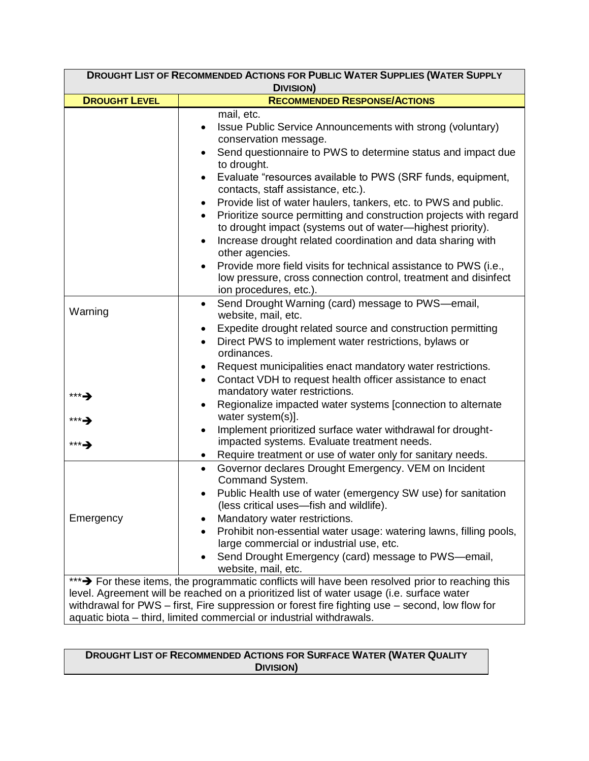| DROUGHT LIST OF RECOMMENDED ACTIONS FOR PUBLIC WATER SUPPLIES (WATER SUPPLY<br><b>DIVISION</b> ) |                                                                                                                                                                                                                                                                                                                                                                                                                                                                                                                                                                                                                                                                                                                                                                                                     |  |
|--------------------------------------------------------------------------------------------------|-----------------------------------------------------------------------------------------------------------------------------------------------------------------------------------------------------------------------------------------------------------------------------------------------------------------------------------------------------------------------------------------------------------------------------------------------------------------------------------------------------------------------------------------------------------------------------------------------------------------------------------------------------------------------------------------------------------------------------------------------------------------------------------------------------|--|
| <b>DROUGHT LEVEL</b>                                                                             | <b>RECOMMENDED RESPONSE/ACTIONS</b>                                                                                                                                                                                                                                                                                                                                                                                                                                                                                                                                                                                                                                                                                                                                                                 |  |
|                                                                                                  | mail, etc.<br>Issue Public Service Announcements with strong (voluntary)<br>$\bullet$<br>conservation message.<br>Send questionnaire to PWS to determine status and impact due<br>to drought.<br>Evaluate "resources available to PWS (SRF funds, equipment,<br>$\bullet$<br>contacts, staff assistance, etc.).<br>Provide list of water haulers, tankers, etc. to PWS and public.<br>$\bullet$<br>Prioritize source permitting and construction projects with regard<br>$\bullet$<br>to drought impact (systems out of water-highest priority).<br>Increase drought related coordination and data sharing with<br>$\bullet$<br>other agencies.<br>Provide more field visits for technical assistance to PWS (i.e.,<br>$\bullet$<br>low pressure, cross connection control, treatment and disinfect |  |
| Warning                                                                                          | ion procedures, etc.).<br>Send Drought Warning (card) message to PWS-email,<br>$\bullet$<br>website, mail, etc.                                                                                                                                                                                                                                                                                                                                                                                                                                                                                                                                                                                                                                                                                     |  |
|                                                                                                  | Expedite drought related source and construction permitting<br>$\bullet$<br>Direct PWS to implement water restrictions, bylaws or<br>$\bullet$<br>ordinances.<br>Request municipalities enact mandatory water restrictions.<br>٠<br>Contact VDH to request health officer assistance to enact<br>$\bullet$                                                                                                                                                                                                                                                                                                                                                                                                                                                                                          |  |
| *** >                                                                                            | mandatory water restrictions.<br>Regionalize impacted water systems [connection to alternate<br>$\bullet$                                                                                                                                                                                                                                                                                                                                                                                                                                                                                                                                                                                                                                                                                           |  |
| ***→<br>***→                                                                                     | water system(s)].<br>Implement prioritized surface water withdrawal for drought-<br>$\bullet$<br>impacted systems. Evaluate treatment needs.                                                                                                                                                                                                                                                                                                                                                                                                                                                                                                                                                                                                                                                        |  |
|                                                                                                  | Require treatment or use of water only for sanitary needs.<br>٠                                                                                                                                                                                                                                                                                                                                                                                                                                                                                                                                                                                                                                                                                                                                     |  |
| Emergency                                                                                        | Governor declares Drought Emergency. VEM on Incident<br>$\bullet$<br>Command System.<br>Public Health use of water (emergency SW use) for sanitation<br>(less critical uses-fish and wildlife).<br>Mandatory water restrictions.                                                                                                                                                                                                                                                                                                                                                                                                                                                                                                                                                                    |  |
|                                                                                                  | Prohibit non-essential water usage: watering lawns, filling pools,<br>large commercial or industrial use, etc.<br>Send Drought Emergency (card) message to PWS-email,<br>website, mail, etc.                                                                                                                                                                                                                                                                                                                                                                                                                                                                                                                                                                                                        |  |
|                                                                                                  | *** > For these items, the programmatic conflicts will have been resolved prior to reaching this<br>level. Agreement will be reached on a prioritized list of water usage (i.e. surface water<br>withdrawal for PWS – first, Fire suppression or forest fire fighting use – second, low flow for<br>aquatic biota – third, limited commercial or industrial withdrawals.                                                                                                                                                                                                                                                                                                                                                                                                                            |  |

# **DROUGHT LIST OF RECOMMENDED ACTIONS FOR SURFACE WATER (WATER QUALITY DIVISION)**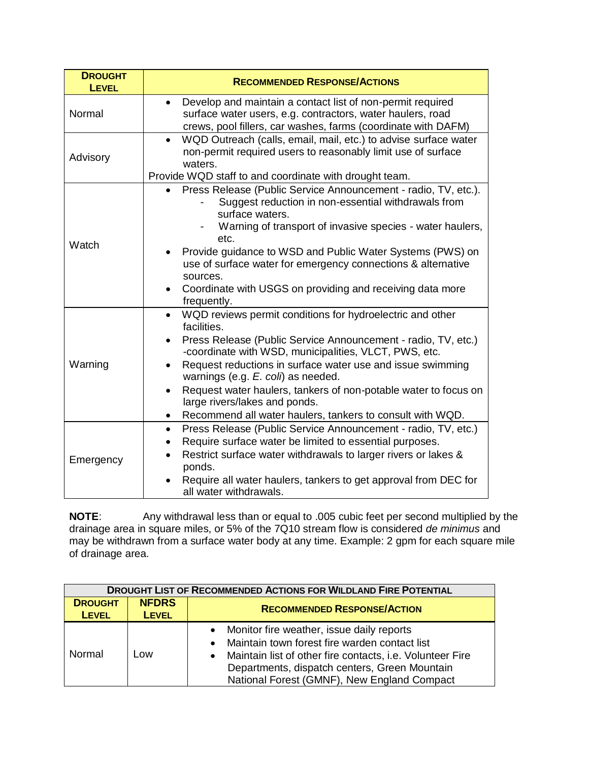| <b>DROUGHT</b><br><b>LEVEL</b> | <b>RECOMMENDED RESPONSE/ACTIONS</b>                                                                                                                                                                                                                                                                                                                                                                                                                                                                            |
|--------------------------------|----------------------------------------------------------------------------------------------------------------------------------------------------------------------------------------------------------------------------------------------------------------------------------------------------------------------------------------------------------------------------------------------------------------------------------------------------------------------------------------------------------------|
| Normal                         | Develop and maintain a contact list of non-permit required<br>surface water users, e.g. contractors, water haulers, road<br>crews, pool fillers, car washes, farms (coordinate with DAFM)                                                                                                                                                                                                                                                                                                                      |
| Advisory                       | WQD Outreach (calls, email, mail, etc.) to advise surface water<br>$\bullet$<br>non-permit required users to reasonably limit use of surface<br>waters.<br>Provide WQD staff to and coordinate with drought team.                                                                                                                                                                                                                                                                                              |
| Watch                          | Press Release (Public Service Announcement - radio, TV, etc.).<br>Suggest reduction in non-essential withdrawals from<br>surface waters.<br>Warning of transport of invasive species - water haulers,<br>etc.<br>Provide guidance to WSD and Public Water Systems (PWS) on<br>use of surface water for emergency connections & alternative<br>sources.<br>Coordinate with USGS on providing and receiving data more<br>frequently.                                                                             |
| Warning                        | WQD reviews permit conditions for hydroelectric and other<br>$\bullet$<br>facilities.<br>Press Release (Public Service Announcement - radio, TV, etc.)<br>-coordinate with WSD, municipalities, VLCT, PWS, etc.<br>Request reductions in surface water use and issue swimming<br>$\bullet$<br>warnings (e.g. E. coli) as needed.<br>Request water haulers, tankers of non-potable water to focus on<br>large rivers/lakes and ponds.<br>Recommend all water haulers, tankers to consult with WQD.<br>$\bullet$ |
| Emergency                      | Press Release (Public Service Announcement - radio, TV, etc.)<br>$\bullet$<br>Require surface water be limited to essential purposes.<br>Restrict surface water withdrawals to larger rivers or lakes &<br>ponds.<br>Require all water haulers, tankers to get approval from DEC for<br>all water withdrawals.                                                                                                                                                                                                 |

**NOTE**: Any withdrawal less than or equal to .005 cubic feet per second multiplied by the drainage area in square miles, or 5% of the 7Q10 stream flow is considered *de minimus* and may be withdrawn from a surface water body at any time. Example: 2 gpm for each square mile of drainage area.

| <b>DROUGHT LIST OF RECOMMENDED ACTIONS FOR WILDLAND FIRE POTENTIAL</b> |                              |                                                                                                                                                                                                                                                                                     |  |
|------------------------------------------------------------------------|------------------------------|-------------------------------------------------------------------------------------------------------------------------------------------------------------------------------------------------------------------------------------------------------------------------------------|--|
| <b>DROUGHT</b><br><b>LEVEL</b>                                         | <b>NFDRS</b><br><b>LEVEL</b> | <b>RECOMMENDED RESPONSE/ACTION</b>                                                                                                                                                                                                                                                  |  |
| Normal                                                                 | .OW                          | • Monitor fire weather, issue daily reports<br>Maintain town forest fire warden contact list<br>$\bullet$<br>Maintain list of other fire contacts, i.e. Volunteer Fire<br>$\bullet$<br>Departments, dispatch centers, Green Mountain<br>National Forest (GMNF), New England Compact |  |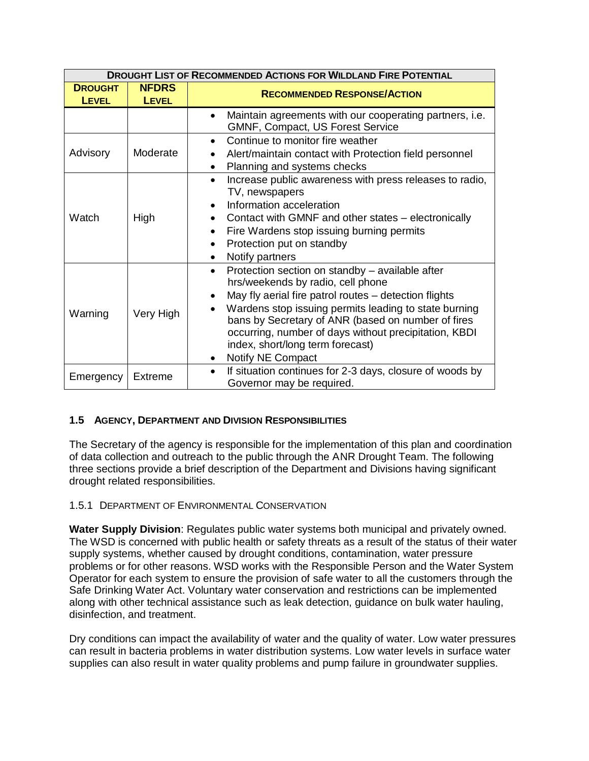| <b>DROUGHT LIST OF RECOMMENDED ACTIONS FOR WILDLAND FIRE POTENTIAL</b> |                              |                                                                                                                                                                                                                                                                                                                                                                                             |  |
|------------------------------------------------------------------------|------------------------------|---------------------------------------------------------------------------------------------------------------------------------------------------------------------------------------------------------------------------------------------------------------------------------------------------------------------------------------------------------------------------------------------|--|
| <b>DROUGHT</b><br><b>LEVEL</b>                                         | <b>NFDRS</b><br><b>LEVEL</b> | <b>RECOMMENDED RESPONSE/ACTION</b>                                                                                                                                                                                                                                                                                                                                                          |  |
|                                                                        |                              | Maintain agreements with our cooperating partners, i.e.<br>$\bullet$<br>GMNF, Compact, US Forest Service                                                                                                                                                                                                                                                                                    |  |
| Advisory                                                               | Moderate                     | Continue to monitor fire weather<br>$\bullet$<br>Alert/maintain contact with Protection field personnel<br>Planning and systems checks                                                                                                                                                                                                                                                      |  |
| Watch                                                                  | High                         | Increase public awareness with press releases to radio,<br>TV, newspapers<br>Information acceleration<br>$\bullet$<br>Contact with GMNF and other states - electronically<br>$\bullet$<br>Fire Wardens stop issuing burning permits<br>$\bullet$<br>Protection put on standby<br>$\bullet$<br>Notify partners                                                                               |  |
| Warning                                                                | Very High                    | Protection section on standby - available after<br>hrs/weekends by radio, cell phone<br>May fly aerial fire patrol routes - detection flights<br>Wardens stop issuing permits leading to state burning<br>bans by Secretary of ANR (based on number of fires<br>occurring, number of days without precipitation, KBDI<br>index, short/long term forecast)<br>Notify NE Compact<br>$\bullet$ |  |
| Emergency                                                              | Extreme                      | If situation continues for 2-3 days, closure of woods by<br>$\bullet$<br>Governor may be required.                                                                                                                                                                                                                                                                                          |  |

# **1.5 AGENCY, DEPARTMENT AND DIVISION RESPONSIBILITIES**

The Secretary of the agency is responsible for the implementation of this plan and coordination of data collection and outreach to the public through the ANR Drought Team. The following three sections provide a brief description of the Department and Divisions having significant drought related responsibilities.

## 1.5.1 DEPARTMENT OF ENVIRONMENTAL CONSERVATION

**Water Supply Division**: Regulates public water systems both municipal and privately owned. The WSD is concerned with public health or safety threats as a result of the status of their water supply systems, whether caused by drought conditions, contamination, water pressure problems or for other reasons. WSD works with the Responsible Person and the Water System Operator for each system to ensure the provision of safe water to all the customers through the Safe Drinking Water Act. Voluntary water conservation and restrictions can be implemented along with other technical assistance such as leak detection, guidance on bulk water hauling, disinfection, and treatment.

Dry conditions can impact the availability of water and the quality of water. Low water pressures can result in bacteria problems in water distribution systems. Low water levels in surface water supplies can also result in water quality problems and pump failure in groundwater supplies.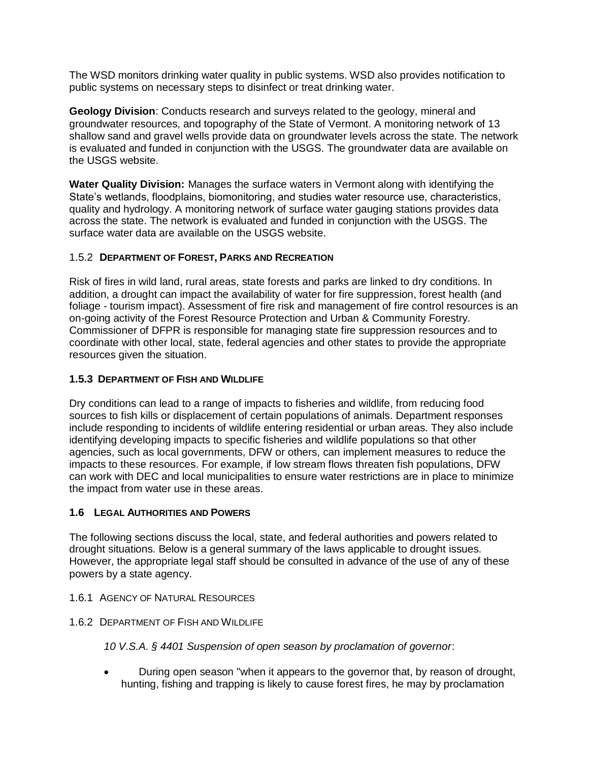The WSD monitors drinking water quality in public systems. WSD also provides notification to public systems on necessary steps to disinfect or treat drinking water.

**Geology Division**: Conducts research and surveys related to the geology, mineral and groundwater resources, and topography of the State of Vermont. A monitoring network of 13 shallow sand and gravel wells provide data on groundwater levels across the state. The network is evaluated and funded in conjunction with the USGS. The groundwater data are available on the USGS website.

**Water Quality Division:** Manages the surface waters in Vermont along with identifying the State's wetlands, floodplains, biomonitoring, and studies water resource use, characteristics, quality and hydrology. A monitoring network of surface water gauging stations provides data across the state. The network is evaluated and funded in conjunction with the USGS. The surface water data are available on the USGS website.

## 1.5.2 **DEPARTMENT OF FOREST, PARKS AND RECREATION**

Risk of fires in wild land, rural areas, state forests and parks are linked to dry conditions. In addition, a drought can impact the availability of water for fire suppression, forest health (and foliage - tourism impact). Assessment of fire risk and management of fire control resources is an on-going activity of the Forest Resource Protection and Urban & Community Forestry. Commissioner of DFPR is responsible for managing state fire suppression resources and to coordinate with other local, state, federal agencies and other states to provide the appropriate resources given the situation.

## **1.5.3 DEPARTMENT OF FISH AND WILDLIFE**

Dry conditions can lead to a range of impacts to fisheries and wildlife, from reducing food sources to fish kills or displacement of certain populations of animals. Department responses include responding to incidents of wildlife entering residential or urban areas. They also include identifying developing impacts to specific fisheries and wildlife populations so that other agencies, such as local governments, DFW or others, can implement measures to reduce the impacts to these resources. For example, if low stream flows threaten fish populations, DFW can work with DEC and local municipalities to ensure water restrictions are in place to minimize the impact from water use in these areas.

## **1.6 LEGAL AUTHORITIES AND POWERS**

The following sections discuss the local, state, and federal authorities and powers related to drought situations. Below is a general summary of the laws applicable to drought issues. However, the appropriate legal staff should be consulted in advance of the use of any of these powers by a state agency.

## 1.6.1 AGENCY OF NATURAL RESOURCES

## 1.6.2 DEPARTMENT OF FISH AND WILDLIFE

*10 V.S.A. § 4401 Suspension of open season by proclamation of governor*:

 During open season "when it appears to the governor that, by reason of drought, hunting, fishing and trapping is likely to cause forest fires, he may by proclamation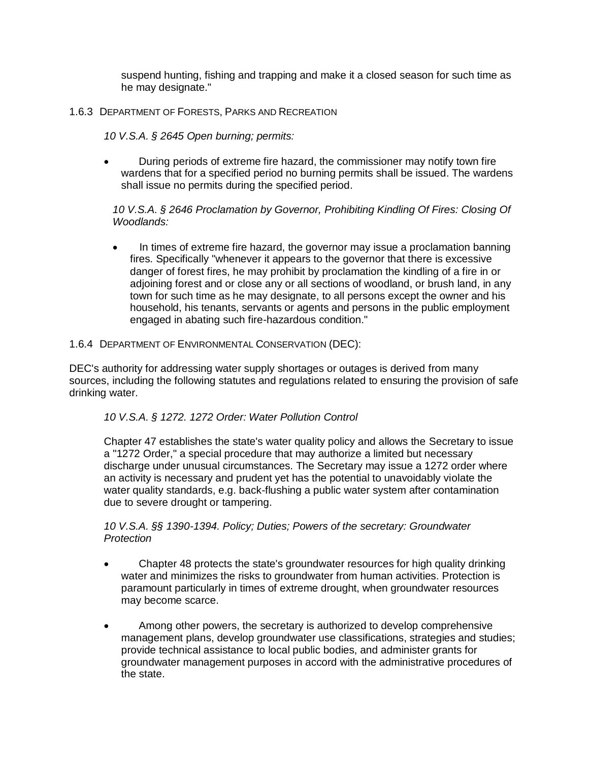suspend hunting, fishing and trapping and make it a closed season for such time as he may designate."

### 1.6.3 DEPARTMENT OF FORESTS, PARKS AND RECREATION

*10 V.S.A. § 2645 Open burning; permits:*

 During periods of extreme fire hazard, the commissioner may notify town fire wardens that for a specified period no burning permits shall be issued. The wardens shall issue no permits during the specified period.

10 V.S.A. § 2646 Proclamation by Governor, Prohibiting Kindling Of Fires: Closing Of *Woodlands:*

• In times of extreme fire hazard, the governor may issue a proclamation banning fires. Specifically "whenever it appears to the governor that there is excessive danger of forest fires, he may prohibit by proclamation the kindling of a fire in or adjoining forest and or close any or all sections of woodland, or brush land, in any town for such time as he may designate, to all persons except the owner and his household, his tenants, servants or agents and persons in the public employment engaged in abating such fire-hazardous condition."

#### 1.6.4 DEPARTMENT OF ENVIRONMENTAL CONSERVATION (DEC):

DEC's authority for addressing water supply shortages or outages is derived from many sources, including the following statutes and regulations related to ensuring the provision of safe drinking water.

#### *10 V.S.A. § 1272. 1272 Order: Water Pollution Control*

Chapter 47 establishes the state's water quality policy and allows the Secretary to issue a "1272 Order," a special procedure that may authorize a limited but necessary discharge under unusual circumstances. The Secretary may issue a 1272 order where an activity is necessary and prudent yet has the potential to unavoidably violate the water quality standards, e.g. back-flushing a public water system after contamination due to severe drought or tampering.

*10 V.S.A. §§ 1390-1394. Policy; Duties; Powers of the secretary: Groundwater Protection* 

- Chapter 48 protects the state's groundwater resources for high quality drinking water and minimizes the risks to groundwater from human activities. Protection is paramount particularly in times of extreme drought, when groundwater resources may become scarce.
- Among other powers, the secretary is authorized to develop comprehensive management plans, develop groundwater use classifications, strategies and studies; provide technical assistance to local public bodies, and administer grants for groundwater management purposes in accord with the administrative procedures of the state.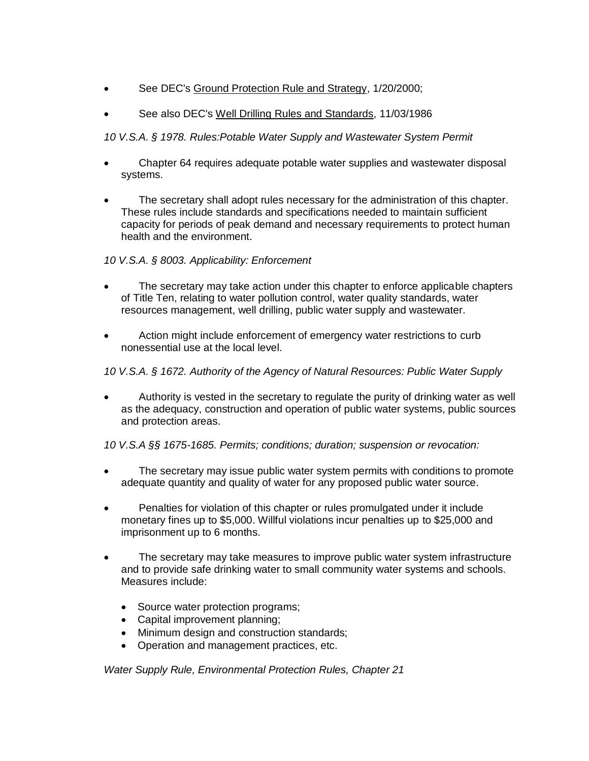- See DEC's Ground Protection Rule and Strategy, 1/20/2000;
- See also DEC's Well Drilling Rules and Standards, 11/03/1986

## *10 V.S.A. § 1978. Rules:Potable Water Supply and Wastewater System Permit*

- Chapter 64 requires adequate potable water supplies and wastewater disposal systems.
- The secretary shall adopt rules necessary for the administration of this chapter. These rules include standards and specifications needed to maintain sufficient capacity for periods of peak demand and necessary requirements to protect human health and the environment.

## *10 V.S.A. § 8003. Applicability: Enforcement*

- The secretary may take action under this chapter to enforce applicable chapters of Title Ten, relating to water pollution control, water quality standards, water resources management, well drilling, public water supply and wastewater.
- Action might include enforcement of emergency water restrictions to curb nonessential use at the local level.

## *10 V.S.A. § 1672. Authority of the Agency of Natural Resources: Public Water Supply*

 Authority is vested in the secretary to regulate the purity of drinking water as well as the adequacy, construction and operation of public water systems, public sources and protection areas.

*10 V.S.A §§ 1675-1685. Permits; conditions; duration; suspension or revocation:*

- The secretary may issue public water system permits with conditions to promote adequate quantity and quality of water for any proposed public water source.
- Penalties for violation of this chapter or rules promulgated under it include monetary fines up to \$5,000. Willful violations incur penalties up to \$25,000 and imprisonment up to 6 months.
- The secretary may take measures to improve public water system infrastructure and to provide safe drinking water to small community water systems and schools. Measures include:
	- Source water protection programs;
	- Capital improvement planning;
	- Minimum design and construction standards;
	- Operation and management practices, etc.

*Water Supply Rule, Environmental Protection Rules, Chapter 21*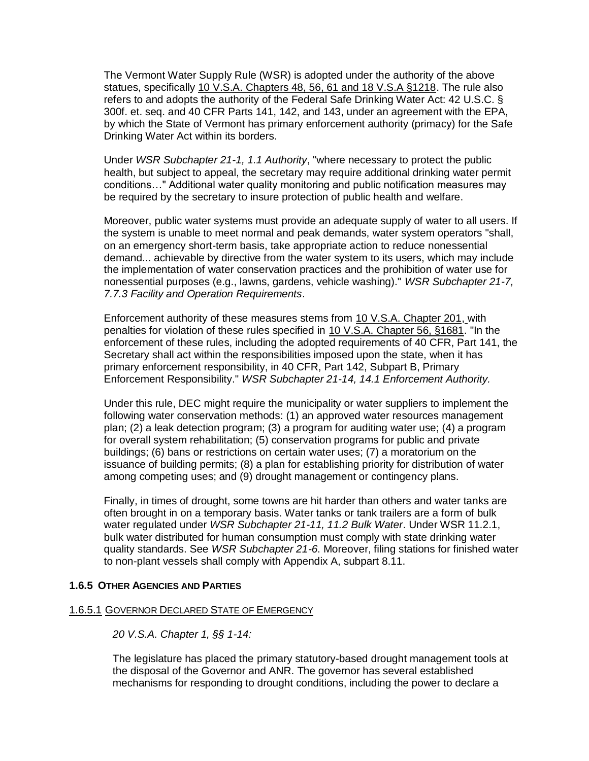The Vermont Water Supply Rule (WSR) is adopted under the authority of the above statues, specifically 10 V.S.A. Chapters 48, 56, 61 and 18 V.S.A §1218. The rule also refers to and adopts the authority of the Federal Safe Drinking Water Act: 42 U.S.C. § 300f. et. seq. and 40 CFR Parts 141, 142, and 143, under an agreement with the EPA, by which the State of Vermont has primary enforcement authority (primacy) for the Safe Drinking Water Act within its borders.

Under *WSR Subchapter 21-1, 1.1 Authority*, "where necessary to protect the public health, but subject to appeal, the secretary may require additional drinking water permit conditions…" Additional water quality monitoring and public notification measures may be required by the secretary to insure protection of public health and welfare.

Moreover, public water systems must provide an adequate supply of water to all users. If the system is unable to meet normal and peak demands, water system operators "shall, on an emergency short-term basis, take appropriate action to reduce nonessential demand... achievable by directive from the water system to its users, which may include the implementation of water conservation practices and the prohibition of water use for nonessential purposes (e.g., lawns, gardens, vehicle washing)." *WSR Subchapter 21-7, 7.7.3 Facility and Operation Requirements*.

Enforcement authority of these measures stems from 10 V.S.A. Chapter 201, with penalties for violation of these rules specified in 10 V.S.A. Chapter 56, §1681. "In the enforcement of these rules, including the adopted requirements of 40 CFR, Part 141, the Secretary shall act within the responsibilities imposed upon the state, when it has primary enforcement responsibility, in 40 CFR, Part 142, Subpart B, Primary Enforcement Responsibility." *WSR Subchapter 21-14, 14.1 Enforcement Authority.*

Under this rule, DEC might require the municipality or water suppliers to implement the following water conservation methods: (1) an approved water resources management plan; (2) a leak detection program; (3) a program for auditing water use; (4) a program for overall system rehabilitation; (5) conservation programs for public and private buildings; (6) bans or restrictions on certain water uses; (7) a moratorium on the issuance of building permits; (8) a plan for establishing priority for distribution of water among competing uses; and (9) drought management or contingency plans.

Finally, in times of drought, some towns are hit harder than others and water tanks are often brought in on a temporary basis. Water tanks or tank trailers are a form of bulk water regulated under *WSR Subchapter 21-11, 11.2 Bulk Water*. Under WSR 11.2.1, bulk water distributed for human consumption must comply with state drinking water quality standards. See *WSR Subchapter 21-6*. Moreover, filing stations for finished water to non-plant vessels shall comply with Appendix A, subpart 8.11.

#### **1.6.5 OTHER AGENCIES AND PARTIES**

#### 1.6.5.1 GOVERNOR DECLARED STATE OF EMERGENCY

*20 V.S.A. Chapter 1, §§ 1-14:*

The legislature has placed the primary statutory-based drought management tools at the disposal of the Governor and ANR. The governor has several established mechanisms for responding to drought conditions, including the power to declare a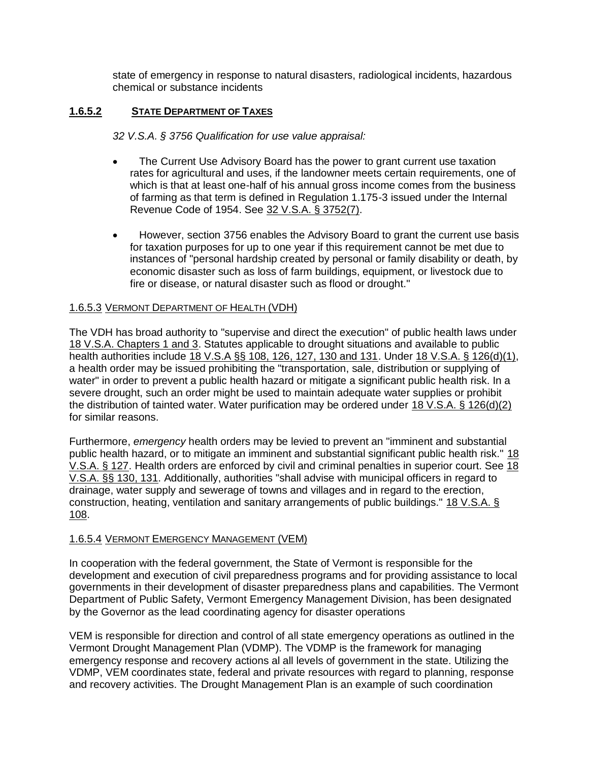state of emergency in response to natural disasters, radiological incidents, hazardous chemical or substance incidents

## **1.6.5.2 STATE DEPARTMENT OF TAXES**

## *32 V.S.A. § 3756 Qualification for use value appraisal:*

- The Current Use Advisory Board has the power to grant current use taxation rates for agricultural and uses, if the landowner meets certain requirements, one of which is that at least one-half of his annual gross income comes from the business of farming as that term is defined in Regulation 1.175-3 issued under the Internal Revenue Code of 1954. See 32 V.S.A. § 3752(7).
- However, section 3756 enables the Advisory Board to grant the current use basis for taxation purposes for up to one year if this requirement cannot be met due to instances of "personal hardship created by personal or family disability or death, by economic disaster such as loss of farm buildings, equipment, or livestock due to fire or disease, or natural disaster such as flood or drought."

### 1.6.5.3 VERMONT DEPARTMENT OF HEALTH (VDH)

The VDH has broad authority to "supervise and direct the execution" of public health laws under 18 V.S.A. Chapters 1 and 3. Statutes applicable to drought situations and available to public health authorities include 18 V.S.A §§ 108, 126, 127, 130 and 131. Under 18 V.S.A. § 126(d)(1), a health order may be issued prohibiting the "transportation, sale, distribution or supplying of water" in order to prevent a public health hazard or mitigate a significant public health risk. In a severe drought, such an order might be used to maintain adequate water supplies or prohibit the distribution of tainted water. Water purification may be ordered under 18 V.S.A. § 126(d)(2) for similar reasons.

Furthermore, *emergency* health orders may be levied to prevent an "imminent and substantial public health hazard, or to mitigate an imminent and substantial significant public health risk." 18 V.S.A. § 127. Health orders are enforced by civil and criminal penalties in superior court. See 18 V.S.A. §§ 130, 131. Additionally, authorities "shall advise with municipal officers in regard to drainage, water supply and sewerage of towns and villages and in regard to the erection, construction, heating, ventilation and sanitary arrangements of public buildings." 18 V.S.A. § 108.

#### 1.6.5.4 VERMONT EMERGENCY MANAGEMENT (VEM)

In cooperation with the federal government, the State of Vermont is responsible for the development and execution of civil preparedness programs and for providing assistance to local governments in their development of disaster preparedness plans and capabilities. The Vermont Department of Public Safety, Vermont Emergency Management Division, has been designated by the Governor as the lead coordinating agency for disaster operations

VEM is responsible for direction and control of all state emergency operations as outlined in the Vermont Drought Management Plan (VDMP). The VDMP is the framework for managing emergency response and recovery actions al all levels of government in the state. Utilizing the VDMP, VEM coordinates state, federal and private resources with regard to planning, response and recovery activities. The Drought Management Plan is an example of such coordination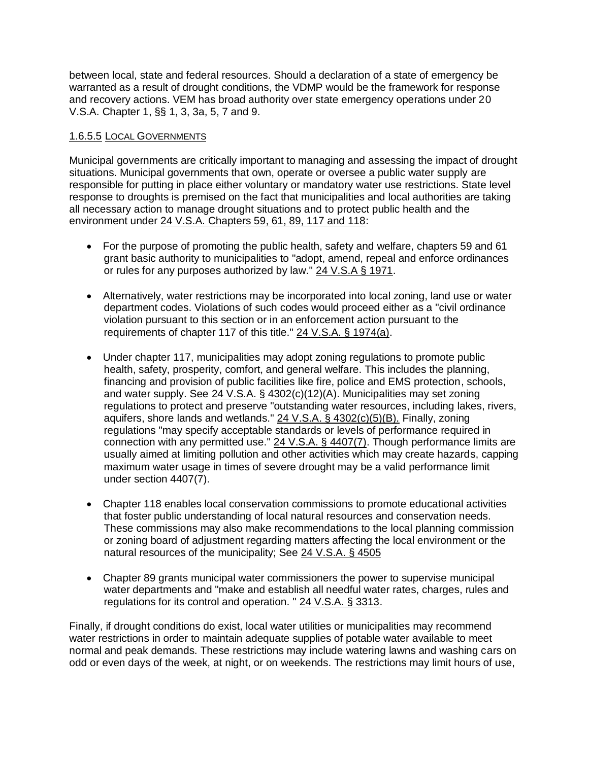between local, state and federal resources. Should a declaration of a state of emergency be warranted as a result of drought conditions, the VDMP would be the framework for response and recovery actions. VEM has broad authority over state emergency operations under 20 V.S.A. Chapter 1, §§ 1, 3, 3a, 5, 7 and 9.

## 1.6.5.5 LOCAL GOVERNMENTS

Municipal governments are critically important to managing and assessing the impact of drought situations. Municipal governments that own, operate or oversee a public water supply are responsible for putting in place either voluntary or mandatory water use restrictions. State level response to droughts is premised on the fact that municipalities and local authorities are taking all necessary action to manage drought situations and to protect public health and the environment under 24 V.S.A. Chapters 59, 61, 89, 117 and 118:

- For the purpose of promoting the public health, safety and welfare, chapters 59 and 61 grant basic authority to municipalities to "adopt, amend, repeal and enforce ordinances or rules for any purposes authorized by law." 24 V.S.A § 1971.
- Alternatively, water restrictions may be incorporated into local zoning, land use or water department codes. Violations of such codes would proceed either as a "civil ordinance violation pursuant to this section or in an enforcement action pursuant to the requirements of chapter 117 of this title." 24 V.S.A. § 1974(a).
- Under chapter 117, municipalities may adopt zoning regulations to promote public health, safety, prosperity, comfort, and general welfare. This includes the planning, financing and provision of public facilities like fire, police and EMS protection, schools, and water supply. See 24 V.S.A. § 4302(c)(12)(A). Municipalities may set zoning regulations to protect and preserve "outstanding water resources, including lakes, rivers, aquifers, shore lands and wetlands." 24 V.S.A. § 4302(c)(5)(B). Finally, zoning regulations "may specify acceptable standards or levels of performance required in connection with any permitted use."  $24$  V.S.A. §  $4407(7)$ . Though performance limits are usually aimed at limiting pollution and other activities which may create hazards, capping maximum water usage in times of severe drought may be a valid performance limit under section 4407(7).
- Chapter 118 enables local conservation commissions to promote educational activities that foster public understanding of local natural resources and conservation needs. These commissions may also make recommendations to the local planning commission or zoning board of adjustment regarding matters affecting the local environment or the natural resources of the municipality; See 24 V.S.A. § 4505
- Chapter 89 grants municipal water commissioners the power to supervise municipal water departments and "make and establish all needful water rates, charges, rules and regulations for its control and operation. " 24 V.S.A. § 3313.

Finally, if drought conditions do exist, local water utilities or municipalities may recommend water restrictions in order to maintain adequate supplies of potable water available to meet normal and peak demands. These restrictions may include watering lawns and washing cars on odd or even days of the week, at night, or on weekends. The restrictions may limit hours of use,